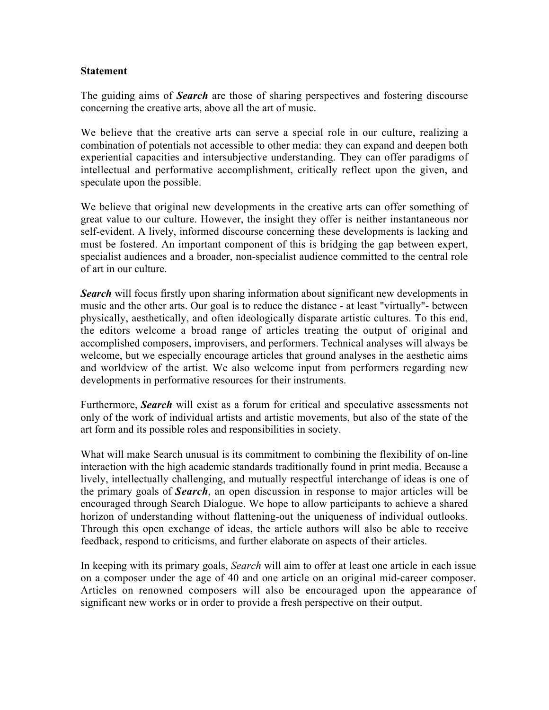## **Statement**

The guiding aims of *Search* are those of sharing perspectives and fostering discourse concerning the creative arts, above all the art of music.

We believe that the creative arts can serve a special role in our culture, realizing a combination of potentials not accessible to other media: they can expand and deepen both experiential capacities and intersubjective understanding. They can offer paradigms of intellectual and performative accomplishment, critically reflect upon the given, and speculate upon the possible.

We believe that original new developments in the creative arts can offer something of great value to our culture. However, the insight they offer is neither instantaneous nor self-evident. A lively, informed discourse concerning these developments is lacking and must be fostered. An important component of this is bridging the gap between expert, specialist audiences and a broader, non-specialist audience committed to the central role of art in our culture.

*Search* will focus firstly upon sharing information about significant new developments in music and the other arts. Our goal is to reduce the distance - at least "virtually"- between physically, aesthetically, and often ideologically disparate artistic cultures. To this end, the editors welcome a broad range of articles treating the output of original and accomplished composers, improvisers, and performers. Technical analyses will always be welcome, but we especially encourage articles that ground analyses in the aesthetic aims and worldview of the artist. We also welcome input from performers regarding new developments in performative resources for their instruments.

Furthermore, *Search* will exist as a forum for critical and speculative assessments not only of the work of individual artists and artistic movements, but also of the state of the art form and its possible roles and responsibilities in society.

What will make Search unusual is its commitment to combining the flexibility of on-line interaction with the high academic standards traditionally found in print media. Because a lively, intellectually challenging, and mutually respectful interchange of ideas is one of the primary goals of *Search*, an open discussion in response to major articles will be encouraged through Search Dialogue. We hope to allow participants to achieve a shared horizon of understanding without flattening-out the uniqueness of individual outlooks. Through this open exchange of ideas, the article authors will also be able to receive feedback, respond to criticisms, and further elaborate on aspects of their articles.

In keeping with its primary goals, *Search* will aim to offer at least one article in each issue on a composer under the age of 40 and one article on an original mid-career composer. Articles on renowned composers will also be encouraged upon the appearance of significant new works or in order to provide a fresh perspective on their output.